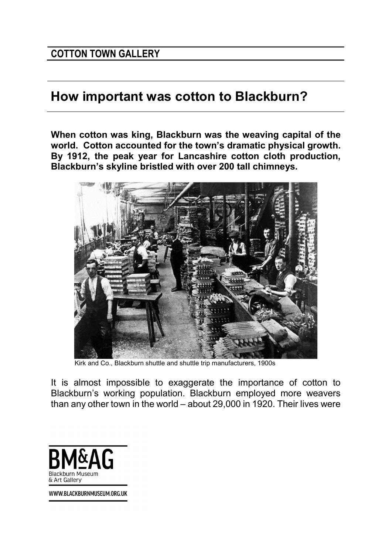## How important was cotton to Blackburn?

When cotton was king, Blackburn was the weaving capital of the world. Cotton accounted for the town's dramatic physical growth. By 1912, the peak year for Lancashire cotton cloth production, Blackburn's skyline bristled with over 200 tall chimneys.



Kirk and Co., Blackburn shuttle and shuttle trip manufacturers, 1900s

It is almost impossible to exaggerate the importance of cotton to Blackburn's working population. Blackburn employed more weavers than any other town in the world – about 29,000 in 1920. Their lives were



WWW.BLACKBURNMUSEUM.ORG.UK